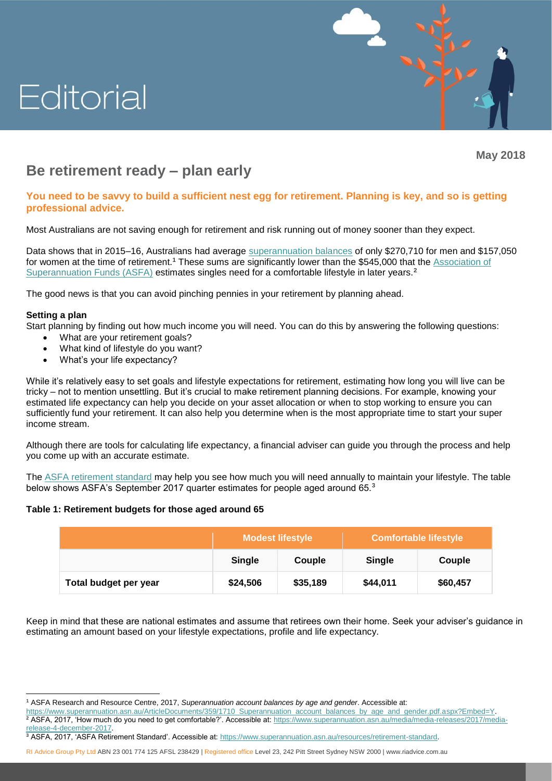# Editorial



**May 2018**

# **Be retirement ready – plan early**

## **You need to be savvy to build a sufficient nest egg for retirement. Planning is key, and so is getting professional advice.**

Most Australians are not saving enough for retirement and risk running out of money sooner than they expect.

Data shows that in 2015–16, Australians had average [superannuation balances](https://www.superannuation.asn.au/ArticleDocuments/359/1710_Superannuation_account_balances_by_age_and_gender.pdf.aspx?Embed=Y) of only \$270,710 for men and \$157,050 for women at the time of retirement.**<sup>1</sup>** These sums are significantly lower than the \$545,000 that the [Association of](https://www.superannuation.asn.au/media/media-releases/2017/media-release-4-december-2017)  [Superannuation Funds \(ASFA\)](https://www.superannuation.asn.au/media/media-releases/2017/media-release-4-december-2017) estimates singles need for a comfortable lifestyle in later years.**<sup>2</sup>**

The good news is that you can avoid pinching pennies in your retirement by planning ahead.

### **Setting a plan**

Start planning by finding out how much income you will need. You can do this by answering the following questions:

- What are your retirement goals?
- What kind of lifestyle do you want?
- What's your life expectancy?

While it's relatively easy to set goals and lifestyle expectations for retirement, estimating how long you will live can be tricky – not to mention unsettling. But it's crucial to make retirement planning decisions. For example, knowing your estimated life expectancy can help you decide on your asset allocation or when to stop working to ensure you can sufficiently fund your retirement. It can also help you determine when is the most appropriate time to start your super income stream.

Although there are tools for calculating life expectancy, a financial adviser can guide you through the process and help you come up with an accurate estimate.

The [ASFA retirement standard](https://www.superannuation.asn.au/resources/retirement-standard) may help you see how much you will need annually to maintain your lifestyle. The table below shows ASFA's September 2017 quarter estimates for people aged around 65.**<sup>3</sup>**

### **Table 1: Retirement budgets for those aged around 65**

|                       | <b>Modest lifestyle</b> |          | <b>Comfortable lifestyle</b> |          |
|-----------------------|-------------------------|----------|------------------------------|----------|
|                       | <b>Single</b>           | Couple   | <b>Single</b>                | Couple   |
| Total budget per year | \$24,506                | \$35,189 | \$44,011                     | \$60,457 |

Keep in mind that these are national estimates and assume that retirees own their home. Seek your adviser's guidance in estimating an amount based on your lifestyle expectations, profile and life expectancy.

**<sup>3</sup>** ASFA, 2017, 'ASFA Retirement Standard'. Accessible at[: https://www.superannuation.asn.au/resources/retirement-standard.](https://www.superannuation.asn.au/resources/retirement-standard)

RI Advice Group Pty Ltd ABN 23 001 774 125 AFSL 238429 | Registered office Level 23, 242 Pitt Street Sydney NSW 2000 | [www.riadvice.com.au](http://www.riadvice.com.au/)

 $\overline{a}$ **<sup>1</sup>** ASFA Research and Resource Centre, 2017, *Superannuation account balances by age and gender*. Accessible at:

[https://www.superannuation.asn.au/ArticleDocuments/359/1710\\_Superannuation\\_account\\_balances\\_by\\_age\\_and\\_gender.pdf.aspx?Embed=Y.](https://www.superannuation.asn.au/ArticleDocuments/359/1710_Superannuation_account_balances_by_age_and_gender.pdf.aspx?Embed=Y)

**<sup>2</sup>** ASFA, 2017, 'How much do you need to get comfortable?'. Accessible at: [https://www.superannuation.asn.au/media/media-releases/2017/media](https://www.superannuation.asn.au/media/media-releases/2017/media-release-4-december-2017)[release-4-december-2017.](https://www.superannuation.asn.au/media/media-releases/2017/media-release-4-december-2017)